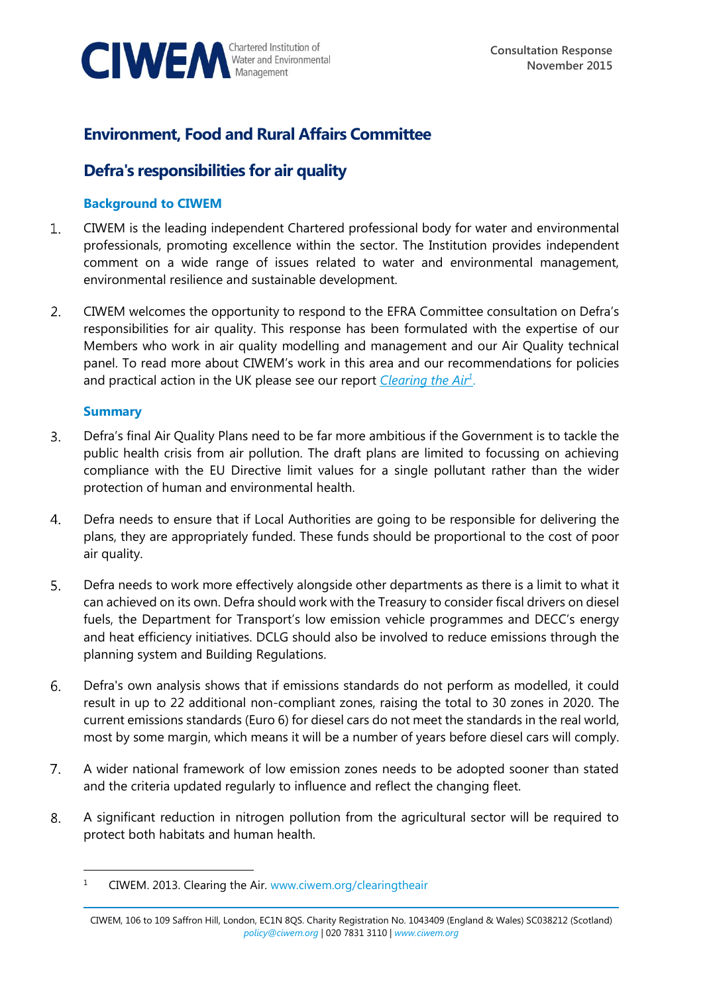

# **Environment, Food and Rural Affairs Committee**

## **Defra's responsibilities for air quality**

## **Background to CIWEM**

- CIWEM is the leading independent Chartered professional body for water and environmental  $\mathbf{1}$ . professionals, promoting excellence within the sector. The Institution provides independent comment on a wide range of issues related to water and environmental management, environmental resilience and sustainable development.
- $2.$ CIWEM welcomes the opportunity to respond to the EFRA Committee consultation on Defra's responsibilities for air quality. This response has been formulated with the expertise of our Members who work in air quality modelling and management and our Air Quality technical panel. To read more about CIWEM's work in this area and our recommendations for policies and practical action in the UK please see our report *[Clearing the Air](http://www.ciwem.org/media/954014/Clearing%20the%20Air_Web.pdf)<sup>1</sup>* .

## **Summary**

- Defra's final Air Quality Plans need to be far more ambitious if the Government is to tackle the  $3.$ public health crisis from air pollution. The draft plans are limited to focussing on achieving compliance with the EU Directive limit values for a single pollutant rather than the wider protection of human and environmental health.
- Defra needs to ensure that if Local Authorities are going to be responsible for delivering the 4. plans, they are appropriately funded. These funds should be proportional to the cost of poor air quality.
- Defra needs to work more effectively alongside other departments as there is a limit to what it 5. can achieved on its own. Defra should work with the Treasury to consider fiscal drivers on diesel fuels, the Department for Transport's low emission vehicle programmes and DECC's energy and heat efficiency initiatives. DCLG should also be involved to reduce emissions through the planning system and Building Regulations.
- 6. Defra's own analysis shows that if emissions standards do not perform as modelled, it could result in up to 22 additional non-compliant zones, raising the total to 30 zones in 2020. The current emissions standards (Euro 6) for diesel cars do not meet the standards in the real world, most by some margin, which means it will be a number of years before diesel cars will comply.
- $7<sub>1</sub>$ A wider national framework of low emission zones needs to be adopted sooner than stated and the criteria updated regularly to influence and reflect the changing fleet.
- 8. A significant reduction in nitrogen pollution from the agricultural sector will be required to protect both habitats and human health.

<sup>&</sup>lt;sup>1</sup> CIWEM. 2013. Clearing the Air. [www.ciwem.org/clearingtheair](http://www.ciwem.org/clearingtheair)

CIWEM, 106 to 109 Saffron Hill, London, EC1N 8QS. Charity Registration No. 1043409 (England & Wales) SC038212 (Scotland) *[policy@ciwem.org](mailto:policy@ciwem.org)* | 020 7831 3110 | *[www.ciwem.org](http://www.ciwem.org/)*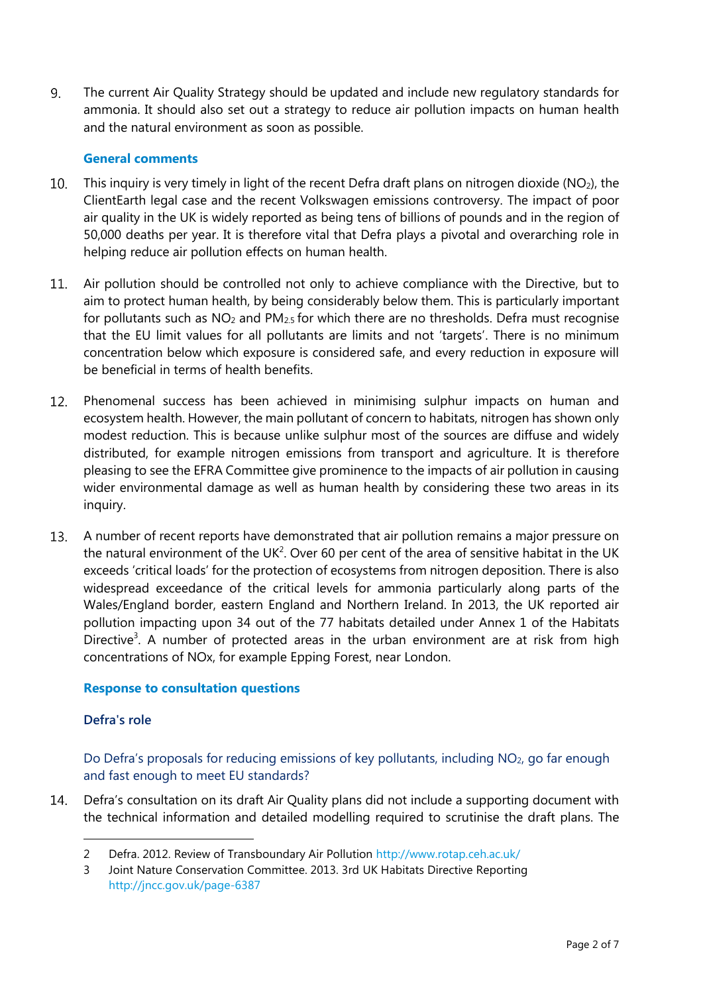9. The current Air Quality Strategy should be updated and include new regulatory standards for ammonia. It should also set out a strategy to reduce air pollution impacts on human health and the natural environment as soon as possible.

#### **General comments**

- This inquiry is very timely in light of the recent Defra draft plans on nitrogen dioxide ( $NO<sub>2</sub>$ ), the  $10.$ ClientEarth legal case and the recent Volkswagen emissions controversy. The impact of poor air quality in the UK is widely reported as being tens of billions of pounds and in the region of 50,000 deaths per year. It is therefore vital that Defra plays a pivotal and overarching role in helping reduce air pollution effects on human health.
- $11.$ Air pollution should be controlled not only to achieve compliance with the Directive, but to aim to protect human health, by being considerably below them. This is particularly important for pollutants such as  $NO<sub>2</sub>$  and  $PM<sub>2.5</sub>$  for which there are no thresholds. Defra must recognise that the EU limit values for all pollutants are limits and not 'targets'. There is no minimum concentration below which exposure is considered safe, and every reduction in exposure will be beneficial in terms of health benefits.
- $12.$ Phenomenal success has been achieved in minimising sulphur impacts on human and ecosystem health. However, the main pollutant of concern to habitats, nitrogen has shown only modest reduction. This is because unlike sulphur most of the sources are diffuse and widely distributed, for example nitrogen emissions from transport and agriculture. It is therefore pleasing to see the EFRA Committee give prominence to the impacts of air pollution in causing wider environmental damage as well as human health by considering these two areas in its inquiry.
- $13.$ A number of recent reports have demonstrated that air pollution remains a major pressure on the natural environment of the UK<sup>2</sup>. Over 60 per cent of the area of sensitive habitat in the UK exceeds 'critical loads' for the protection of ecosystems from nitrogen deposition. There is also widespread exceedance of the critical levels for ammonia particularly along parts of the Wales/England border, eastern England and Northern Ireland. In 2013, the UK reported air pollution impacting upon 34 out of the 77 habitats detailed under Annex 1 of the Habitats Directive<sup>3</sup>. A number of protected areas in the urban environment are at risk from high concentrations of NOx, for example Epping Forest, near London.

#### **Response to consultation questions**

#### **Defra's role**

 $\overline{a}$ 

Do Defra's proposals for reducing emissions of key pollutants, including  $NO<sub>2</sub>$ , go far enough and fast enough to meet EU standards?

Defra's consultation on its draft Air Quality plans did not include a supporting document with the technical information and detailed modelling required to scrutinise the draft plans. The

<sup>2</sup> Defra. 2012. Review of Transboundary Air Pollution<http://www.rotap.ceh.ac.uk/>

<sup>3</sup> Joint Nature Conservation Committee. 2013. 3rd UK Habitats Directive Reporting <http://jncc.gov.uk/page-6387>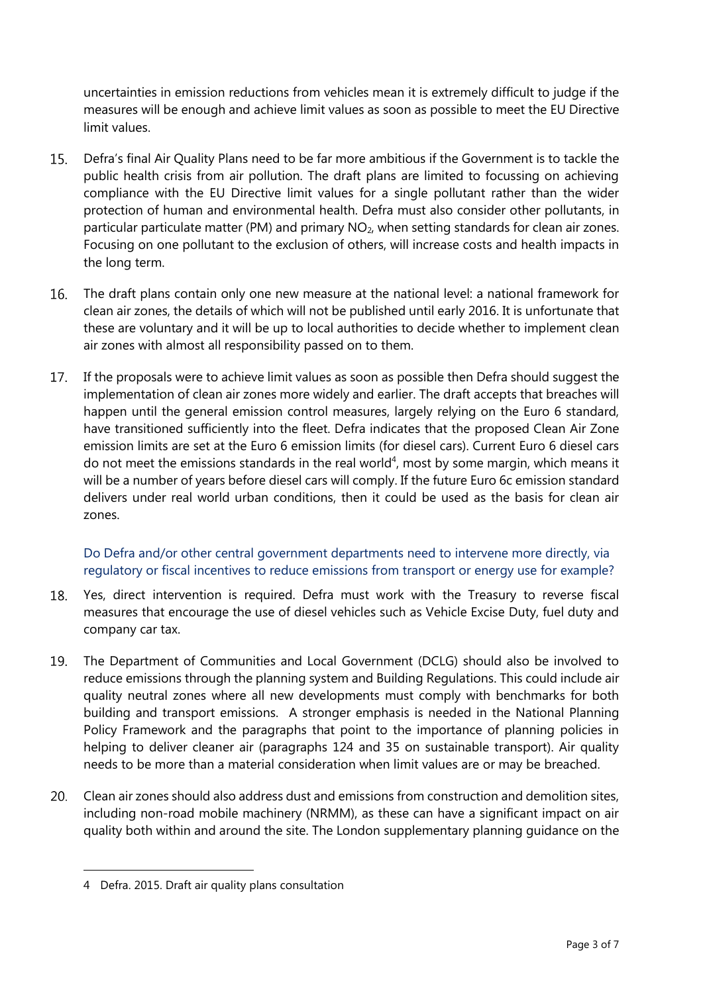uncertainties in emission reductions from vehicles mean it is extremely difficult to judge if the measures will be enough and achieve limit values as soon as possible to meet the EU Directive limit values.

- $15.$ Defra's final Air Quality Plans need to be far more ambitious if the Government is to tackle the public health crisis from air pollution. The draft plans are limited to focussing on achieving compliance with the EU Directive limit values for a single pollutant rather than the wider protection of human and environmental health. Defra must also consider other pollutants, in particular particulate matter (PM) and primary  $NO<sub>2</sub>$ , when setting standards for clean air zones. Focusing on one pollutant to the exclusion of others, will increase costs and health impacts in the long term.
- The draft plans contain only one new measure at the national level: a national framework for 16. clean air zones, the details of which will not be published until early 2016. It is unfortunate that these are voluntary and it will be up to local authorities to decide whether to implement clean air zones with almost all responsibility passed on to them.
- $17.$ If the proposals were to achieve limit values as soon as possible then Defra should suggest the implementation of clean air zones more widely and earlier. The draft accepts that breaches will happen until the general emission control measures, largely relying on the Euro 6 standard, have transitioned sufficiently into the fleet. Defra indicates that the proposed Clean Air Zone emission limits are set at the Euro 6 emission limits (for diesel cars). Current Euro 6 diesel cars do not meet the emissions standards in the real world<sup>4</sup>, most by some margin, which means it will be a number of years before diesel cars will comply. If the future Euro 6c emission standard delivers under real world urban conditions, then it could be used as the basis for clean air zones.

Do Defra and/or other central government departments need to intervene more directly, via regulatory or fiscal incentives to reduce emissions from transport or energy use for example?

- 18. Yes, direct intervention is required. Defra must work with the Treasury to reverse fiscal measures that encourage the use of diesel vehicles such as Vehicle Excise Duty, fuel duty and company car tax.
- 19. The Department of Communities and Local Government (DCLG) should also be involved to reduce emissions through the planning system and Building Regulations. This could include air quality neutral zones where all new developments must comply with benchmarks for both building and transport emissions. A stronger emphasis is needed in the National Planning Policy Framework and the paragraphs that point to the importance of planning policies in helping to deliver cleaner air (paragraphs 124 and 35 on sustainable transport). Air quality needs to be more than a material consideration when limit values are or may be breached.
- Clean air zones should also address dust and emissions from construction and demolition sites,  $20.$ including non-road mobile machinery (NRMM), as these can have a significant impact on air quality both within and around the site. The London supplementary planning guidance on the

<sup>4</sup> Defra. 2015. Draft air quality plans consultation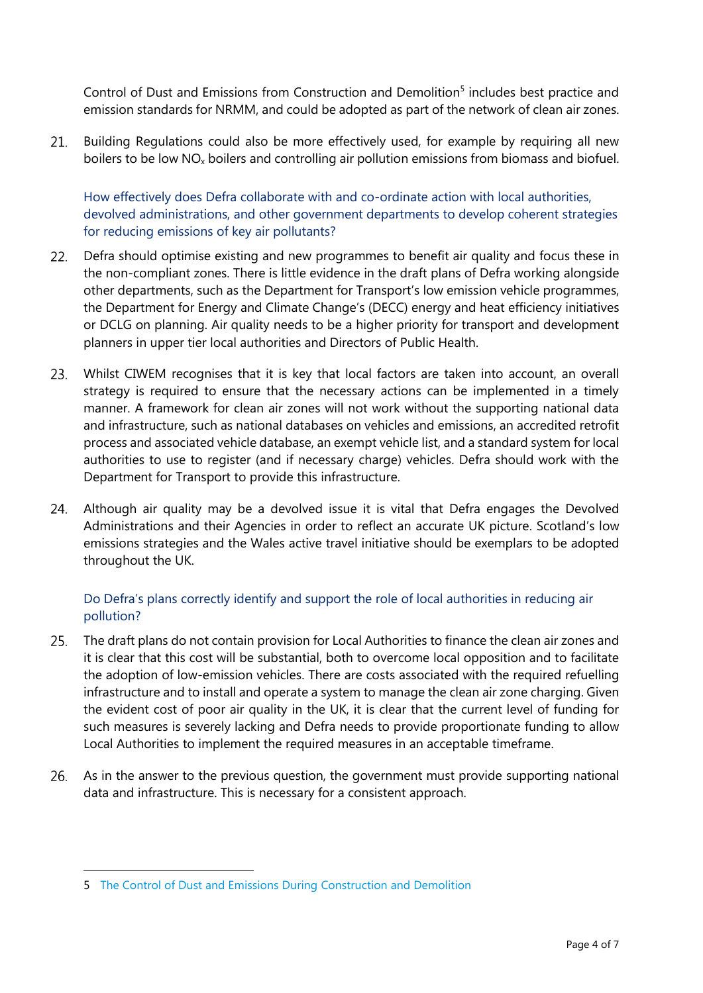Control of Dust and Emissions from Construction and Demolition<sup>5</sup> includes best practice and emission standards for NRMM, and could be adopted as part of the network of clean air zones.

Building Regulations could also be more effectively used, for example by requiring all new  $21.$ boilers to be low NO<sub>x</sub> boilers and controlling air pollution emissions from biomass and biofuel.

How effectively does Defra collaborate with and co-ordinate action with local authorities, devolved administrations, and other government departments to develop coherent strategies for reducing emissions of key air pollutants?

- $22.$ Defra should optimise existing and new programmes to benefit air quality and focus these in the non-compliant zones. There is little evidence in the draft plans of Defra working alongside other departments, such as the Department for Transport's low emission vehicle programmes, the Department for Energy and Climate Change's (DECC) energy and heat efficiency initiatives or DCLG on planning. Air quality needs to be a higher priority for transport and development planners in upper tier local authorities and Directors of Public Health.
- Whilst CIWEM recognises that it is key that local factors are taken into account, an overall strategy is required to ensure that the necessary actions can be implemented in a timely manner. A framework for clean air zones will not work without the supporting national data and infrastructure, such as national databases on vehicles and emissions, an accredited retrofit process and associated vehicle database, an exempt vehicle list, and a standard system for local authorities to use to register (and if necessary charge) vehicles. Defra should work with the Department for Transport to provide this infrastructure.
- $24.$ Although air quality may be a devolved issue it is vital that Defra engages the Devolved Administrations and their Agencies in order to reflect an accurate UK picture. Scotland's low emissions strategies and the Wales active travel initiative should be exemplars to be adopted throughout the UK.

## Do Defra's plans correctly identify and support the role of local authorities in reducing air pollution?

- $25.$ The draft plans do not contain provision for Local Authorities to finance the clean air zones and it is clear that this cost will be substantial, both to overcome local opposition and to facilitate the adoption of low-emission vehicles. There are costs associated with the required refuelling infrastructure and to install and operate a system to manage the clean air zone charging. Given the evident cost of poor air quality in the UK, it is clear that the current level of funding for such measures is severely lacking and Defra needs to provide proportionate funding to allow Local Authorities to implement the required measures in an acceptable timeframe.
- 26. As in the answer to the previous question, the government must provide supporting national data and infrastructure. This is necessary for a consistent approach.

<sup>5</sup> [The Control of Dust and Emissions During Construction and Demolition](https://www.london.gov.uk/priorities/planning/publications/the-control-of-dust-and-emissions-during-construction-and)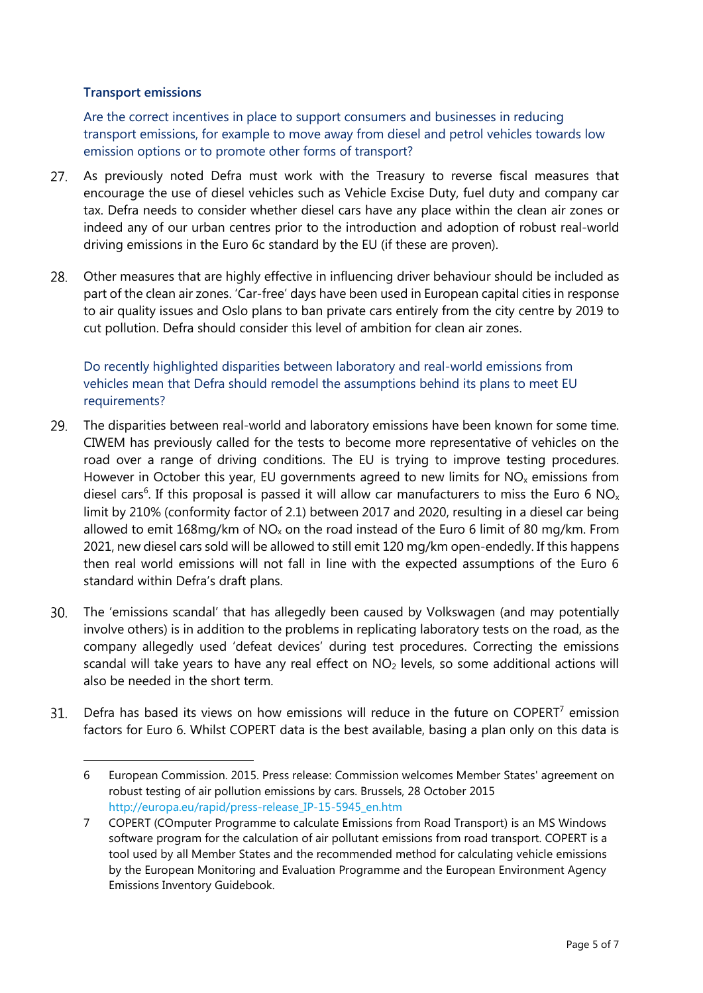#### **Transport emissions**

-

Are the correct incentives in place to support consumers and businesses in reducing transport emissions, for example to move away from diesel and petrol vehicles towards low emission options or to promote other forms of transport?

- As previously noted Defra must work with the Treasury to reverse fiscal measures that encourage the use of diesel vehicles such as Vehicle Excise Duty, fuel duty and company car tax. Defra needs to consider whether diesel cars have any place within the clean air zones or indeed any of our urban centres prior to the introduction and adoption of robust real-world driving emissions in the Euro 6c standard by the EU (if these are proven).
- 28. Other measures that are highly effective in influencing driver behaviour should be included as part of the clean air zones. 'Car-free' days have been used in European capital cities in response to air quality issues and Oslo plans to ban private cars entirely from the city centre by 2019 to cut pollution. Defra should consider this level of ambition for clean air zones.

## Do recently highlighted disparities between laboratory and real-world emissions from vehicles mean that Defra should remodel the assumptions behind its plans to meet EU requirements?

- 29. The disparities between real-world and laboratory emissions have been known for some time. CIWEM has previously called for the tests to become more representative of vehicles on the road over a range of driving conditions. The EU is trying to improve testing procedures. However in October this year, EU governments agreed to new limits for  $NO<sub>x</sub>$  emissions from diesel cars<sup>6</sup>. If this proposal is passed it will allow car manufacturers to miss the Euro 6 NO<sub>x</sub> limit by 210% (conformity factor of 2.1) between 2017 and 2020, resulting in a diesel car being allowed to emit 168mg/km of NO<sub>x</sub> on the road instead of the Euro 6 limit of 80 mg/km. From 2021, new diesel cars sold will be allowed to still emit 120 mg/km open-endedly. If this happens then real world emissions will not fall in line with the expected assumptions of the Euro 6 standard within Defra's draft plans.
- The 'emissions scandal' that has allegedly been caused by Volkswagen (and may potentially  $30.$ involve others) is in addition to the problems in replicating laboratory tests on the road, as the company allegedly used 'defeat devices' during test procedures. Correcting the emissions scandal will take years to have any real effect on  $NO<sub>2</sub>$  levels, so some additional actions will also be needed in the short term.
- Defra has based its views on how emissions will reduce in the future on COPERT $^7$  emission  $31.$ factors for Euro 6. Whilst COPERT data is the best available, basing a plan only on this data is

<sup>6</sup> European Commission. 2015. Press release: Commission welcomes Member States' agreement on robust testing of air pollution emissions by cars. Brussels, 28 October 2015 [http://europa.eu/rapid/press-release\\_IP-15-5945\\_en.htm](http://europa.eu/rapid/press-release_IP-15-5945_en.htm) 

<sup>7</sup> COPERT (COmputer Programme to calculate Emissions from Road Transport) is an MS [Windows](https://en.wikipedia.org/wiki/Microsoft_Windows) software program for the calculation of air pollutant [emissions](https://en.wikipedia.org/wiki/Air_pollution) from road transport. COPERT is a tool used by all Member States and the recommended method for calculating vehicle emissions by the European Monitoring and Evaluation Programme and the European Environment Agency Emissions Inventory Guidebook.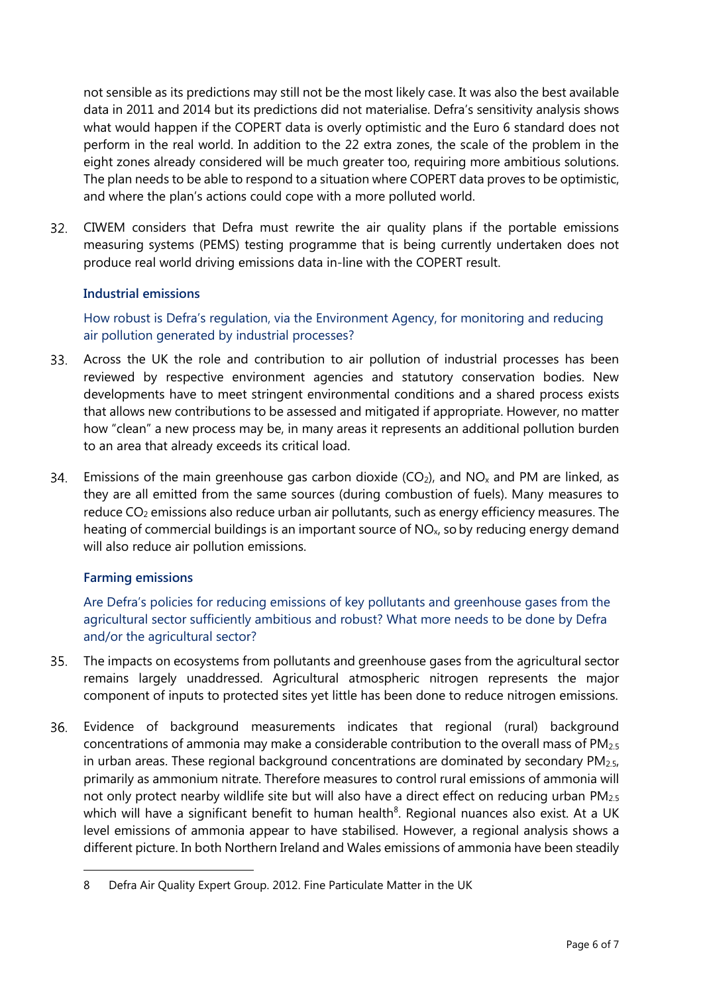not sensible as its predictions may still not be the most likely case. It was also the best available data in 2011 and 2014 but its predictions did not materialise. Defra's sensitivity analysis shows what would happen if the COPERT data is overly optimistic and the Euro 6 standard does not perform in the real world. In addition to the 22 extra zones, the scale of the problem in the eight zones already considered will be much greater too, requiring more ambitious solutions. The plan needs to be able to respond to a situation where COPERT data proves to be optimistic, and where the plan's actions could cope with a more polluted world.

 $32.$ CIWEM considers that Defra must rewrite the air quality plans if the portable emissions measuring systems (PEMS) testing programme that is being currently undertaken does not produce real world driving emissions data in-line with the COPERT result.

## **Industrial emissions**

How robust is Defra's regulation, via the Environment Agency, for monitoring and reducing air pollution generated by industrial processes?

- $33.$ Across the UK the role and contribution to air pollution of industrial processes has been reviewed by respective environment agencies and statutory conservation bodies. New developments have to meet stringent environmental conditions and a shared process exists that allows new contributions to be assessed and mitigated if appropriate. However, no matter how "clean" a new process may be, in many areas it represents an additional pollution burden to an area that already exceeds its critical load.
- 34. Emissions of the main greenhouse gas carbon dioxide ( $CO<sub>2</sub>$ ), and NO<sub>x</sub> and PM are linked, as they are all emitted from the same sources (during combustion of fuels). Many measures to reduce  $CO<sub>2</sub>$  emissions also reduce urban air pollutants, such as energy efficiency measures. The heating of commercial buildings is an important source of  $NO<sub>x</sub>$ , so by reducing energy demand will also reduce air pollution emissions.

## **Farming emissions**

 $\overline{a}$ 

Are Defra's policies for reducing emissions of key pollutants and greenhouse gases from the agricultural sector sufficiently ambitious and robust? What more needs to be done by Defra and/or the agricultural sector?

- $35.$ The impacts on ecosystems from pollutants and greenhouse gases from the agricultural sector remains largely unaddressed. Agricultural atmospheric nitrogen represents the major component of inputs to protected sites yet little has been done to reduce nitrogen emissions.
- Evidence of background measurements indicates that regional (rural) background 36. concentrations of ammonia may make a considerable contribution to the overall mass of  $PM<sub>2.5</sub>$ in urban areas. These regional background concentrations are dominated by secondary  $PM<sub>2.5</sub>$ , primarily as ammonium nitrate. Therefore measures to control rural emissions of ammonia will not only protect nearby wildlife site but will also have a direct effect on reducing urban PM<sub>2.5</sub> which will have a significant benefit to human health<sup>8</sup>. Regional nuances also exist. At a UK level emissions of ammonia appear to have stabilised. However, a regional analysis shows a different picture. In both Northern Ireland and Wales emissions of ammonia have been steadily

<sup>8</sup> Defra Air Quality Expert Group. 2012. Fine Particulate Matter in the UK